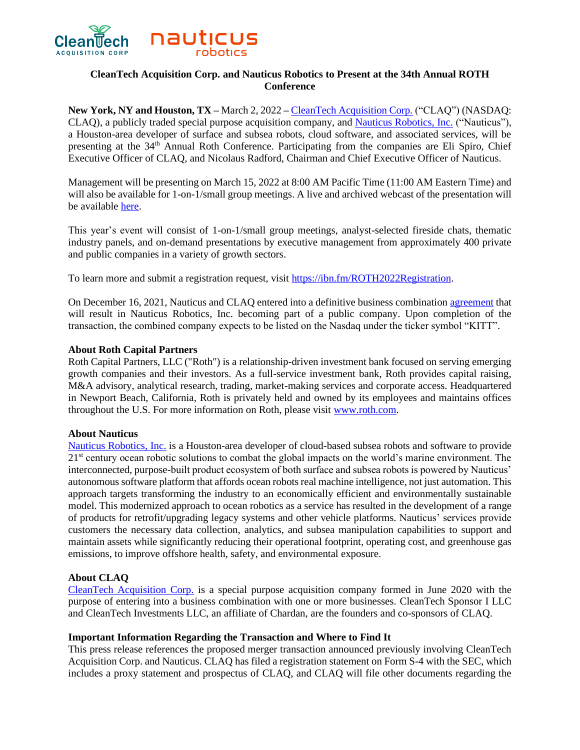

# **CleanTech Acquisition Corp. and Nauticus Robotics to Present at the 34th Annual ROTH Conference**

**New York, NY and Houston, TX –** March 2, 2022 **–** [CleanTech Acquisition Corp.](https://www.cleantechac.com/) ("CLAQ") (NASDAQ: CLAQ), a publicly traded special purpose acquisition company, and [Nauticus Robotics, Inc.](https://nauticusrobotics.com/) ("Nauticus"), a Houston-area developer of surface and subsea robots, cloud software, and associated services, will be presenting at the 34<sup>th</sup> Annual Roth Conference. Participating from the companies are Eli Spiro, Chief Executive Officer of CLAQ, and Nicolaus Radford, Chairman and Chief Executive Officer of Nauticus.

Management will be presenting on March 15, 2022 at 8:00 AM Pacific Time (11:00 AM Eastern Time) and will also be available for 1-on-1/small group meetings. A live and archived webcast of the presentation will be available [here.](https://wsw.com/webcast/roth43/claq/1808772)

This year's event will consist of 1-on-1/small group meetings, analyst-selected fireside chats, thematic industry panels, and on-demand presentations by executive management from approximately 400 private and public companies in a variety of growth sectors.

To learn more and submit a registration request, visit [https://ibn.fm/ROTH2022Registration.](https://ibn.fm/ROTH2022Registration)

On December 16, 2021, Nauticus and CLAQ entered into a definitive business combination [agreement](https://www.globenewswire.com/news-release/2021/12/17/2354396/0/en/Nauticus-Robotics-a-Developer-of-Cloud-Based-AI-Software-to-Power-its-Ocean-Robots-and-Services-to-Become-a-Publicly-Traded-Company-Via-Merger-with-CleanTech-Acquisition-Corp.html) that will result in Nauticus Robotics, Inc. becoming part of a public company. Upon completion of the transaction, the combined company expects to be listed on the Nasdaq under the ticker symbol "KITT".

### **About Roth Capital Partners**

Roth Capital Partners, LLC ("Roth") is a relationship-driven investment bank focused on serving emerging growth companies and their investors. As a full-service investment bank, Roth provides capital raising, M&A advisory, analytical research, trading, market-making services and corporate access. Headquartered in Newport Beach, California, Roth is privately held and owned by its employees and maintains offices throughout the U.S. For more information on Roth, please visit [www.roth.com.](http://www.roth.com/)

## **About Nauticus**

[Nauticus Robotics, Inc.](https://nauticusrobotics.com/) is a Houston-area developer of cloud-based subsea robots and software to provide 21<sup>st</sup> century ocean robotic solutions to combat the global impacts on the world's marine environment. The interconnected, purpose-built product ecosystem of both surface and subsea robots is powered by Nauticus' autonomous software platform that affords ocean robots real machine intelligence, not just automation. This approach targets transforming the industry to an economically efficient and environmentally sustainable model. This modernized approach to ocean robotics as a service has resulted in the development of a range of products for retrofit/upgrading legacy systems and other vehicle platforms. Nauticus' services provide customers the necessary data collection, analytics, and subsea manipulation capabilities to support and maintain assets while significantly reducing their operational footprint, operating cost, and greenhouse gas emissions, to improve offshore health, safety, and environmental exposure.

## **About CLAQ**

[CleanTech Acquisition Corp.](https://www.cleantechac.com/) is a special purpose acquisition company formed in June 2020 with the purpose of entering into a business combination with one or more businesses. CleanTech Sponsor I LLC and CleanTech Investments LLC, an affiliate of Chardan, are the founders and co-sponsors of CLAQ.

#### **Important Information Regarding the Transaction and Where to Find It**

This press release references the proposed merger transaction announced previously involving CleanTech Acquisition Corp. and Nauticus. CLAQ has filed a registration statement on Form S-4 with the SEC, which includes a proxy statement and prospectus of CLAQ, and CLAQ will file other documents regarding the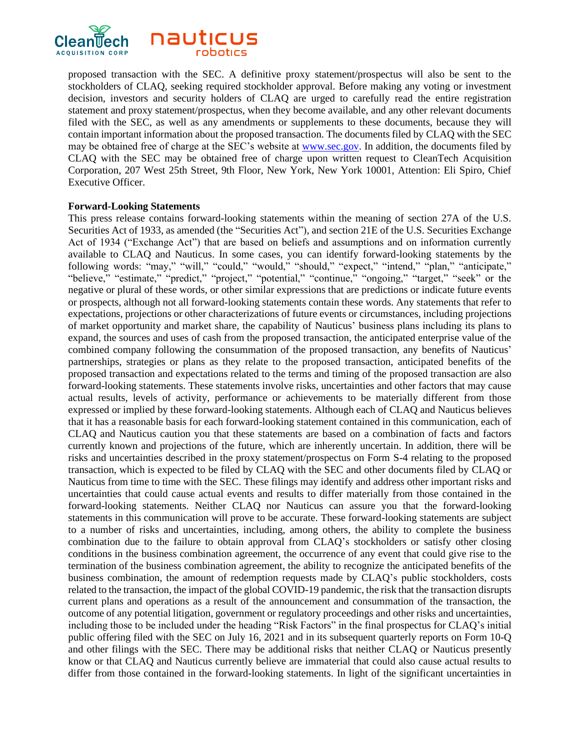

proposed transaction with the SEC. A definitive proxy statement/prospectus will also be sent to the stockholders of CLAQ, seeking required stockholder approval. Before making any voting or investment decision, investors and security holders of CLAQ are urged to carefully read the entire registration statement and proxy statement/prospectus, when they become available, and any other relevant documents filed with the SEC, as well as any amendments or supplements to these documents, because they will contain important information about the proposed transaction. The documents filed by CLAQ with the SEC may be obtained free of charge at the SEC's website at www.sec.gov. In addition, the documents filed by CLAQ with the SEC may be obtained free of charge upon written request to CleanTech Acquisition Corporation, 207 West 25th Street, 9th Floor, New York, New York 10001, Attention: Eli Spiro, Chief Executive Officer.

#### **Forward-Looking Statements**

This press release contains forward-looking statements within the meaning of section 27A of the U.S. Securities Act of 1933, as amended (the "Securities Act"), and section 21E of the U.S. Securities Exchange Act of 1934 ("Exchange Act") that are based on beliefs and assumptions and on information currently available to CLAQ and Nauticus. In some cases, you can identify forward-looking statements by the following words: "may," "will," "could," "would," "should," "expect," "intend," "plan," "anticipate," "believe," "estimate," "predict," "project," "potential," "continue," "ongoing," "target," "seek" or the negative or plural of these words, or other similar expressions that are predictions or indicate future events or prospects, although not all forward-looking statements contain these words. Any statements that refer to expectations, projections or other characterizations of future events or circumstances, including projections of market opportunity and market share, the capability of Nauticus' business plans including its plans to expand, the sources and uses of cash from the proposed transaction, the anticipated enterprise value of the combined company following the consummation of the proposed transaction, any benefits of Nauticus' partnerships, strategies or plans as they relate to the proposed transaction, anticipated benefits of the proposed transaction and expectations related to the terms and timing of the proposed transaction are also forward-looking statements. These statements involve risks, uncertainties and other factors that may cause actual results, levels of activity, performance or achievements to be materially different from those expressed or implied by these forward-looking statements. Although each of CLAQ and Nauticus believes that it has a reasonable basis for each forward-looking statement contained in this communication, each of CLAQ and Nauticus caution you that these statements are based on a combination of facts and factors currently known and projections of the future, which are inherently uncertain. In addition, there will be risks and uncertainties described in the proxy statement/prospectus on Form S-4 relating to the proposed transaction, which is expected to be filed by CLAQ with the SEC and other documents filed by CLAQ or Nauticus from time to time with the SEC. These filings may identify and address other important risks and uncertainties that could cause actual events and results to differ materially from those contained in the forward-looking statements. Neither CLAQ nor Nauticus can assure you that the forward-looking statements in this communication will prove to be accurate. These forward-looking statements are subject to a number of risks and uncertainties, including, among others, the ability to complete the business combination due to the failure to obtain approval from CLAQ's stockholders or satisfy other closing conditions in the business combination agreement, the occurrence of any event that could give rise to the termination of the business combination agreement, the ability to recognize the anticipated benefits of the business combination, the amount of redemption requests made by CLAQ's public stockholders, costs related to the transaction, the impact of the global COVID-19 pandemic, the risk that the transaction disrupts current plans and operations as a result of the announcement and consummation of the transaction, the outcome of any potential litigation, government or regulatory proceedings and other risks and uncertainties, including those to be included under the heading "Risk Factors" in the final prospectus for CLAQ's initial public offering filed with the SEC on July 16, 2021 and in its subsequent quarterly reports on Form 10-Q and other filings with the SEC. There may be additional risks that neither CLAQ or Nauticus presently know or that CLAQ and Nauticus currently believe are immaterial that could also cause actual results to differ from those contained in the forward-looking statements. In light of the significant uncertainties in